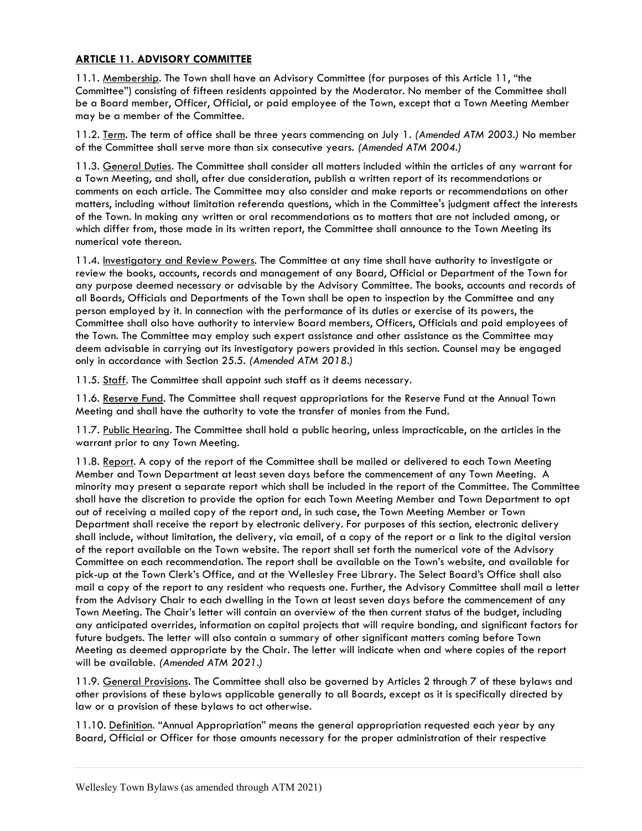## ARTICLE 11. ADVISORY COMMITTEE

11.1. Membership. The Town shall have an Advisory Committee (for purposes of this Article 11, "the Committee") consisting of fifteen residents appointed by the Moderator. No member of the Committee shall be a Board member, Officer, Official, or paid employee of the Town, except that a Town Meeting Member may be a member of the Committee.

11.2. <u>Term</u>. The term of office shall be three years commencing on July 1. (Amended ATM 2003.) No member of the Committee shall serve more than six consecutive years. (Amended ATM 2004.)

11.3. General Duties. The Committee shall consider all matters included within the articles of any warrant for a Town Meeting, and shall, after due consideration, publish a written report of its recommendations or comments on each article. The Committee may also consider and make reports or recommendations on other matters, including without limitation referenda questions, which in the Committee's judgment affect the interests of the Town. In making any written or oral recommendations as to matters that are not included among, or which differ from, those made in its written report, the Committee shall announce to the Town Meeting its numerical vote thereon.

11.4. Investigatory and Review Powers. The Committee at any time shall have authority to investigate or review the books, accounts, records and management of any Board, Official or Department of the Town for any purpose deemed necessary or advisable by the Advisory Committee. The books, accounts and records of all Boards, Officials and Departments of the Town shall be open to inspection by the Committee and any person employed by it. In connection with the performance of its duties or exercise of its powers, the Committee shall also have authority to interview Board members, Officers, Officials and paid employees of the Town. The Committee may employ such expert assistance and other assistance as the Committee may deem advisable in carrying out its investigatory powers provided in this section. Counsel may be engaged only in accordance with Section 25.5. (Amended ATM 2018.)

11.5. Staff. The Committee shall appoint such staff as it deems necessary.

11.6. Reserve Fund. The Committee shall request appropriations for the Reserve Fund at the Annual Town Meeting and shall have the authority to vote the transfer of monies from the Fund.

11.7. Public Hearing. The Committee shall hold a public hearing, unless impracticable, on the articles in the warrant prior to any Town Meeting.

11.8. Report. A copy of the report of the Committee shall be mailed or delivered to each Town Meeting Member and Town Department at least seven days before the commencement of any Town Meeting. A minority may present a separate report which shall be included in the report of the Committee. The Committee shall have the discretion to provide the option for each Town Meeting Member and Town Department to opt out of receiving a mailed copy of the report and, in such case, the Town Meeting Member or Town Department shall receive the report by electronic delivery. For purposes of this section, electronic delivery shall include, without limitation, the delivery, via email, of a copy of the report or a link to the digital version of the report available on the Town website. The report shall set forth the numerical vote of the Advisory Committee on each recommendation. The report shall be available on the Town's website, and available for pick-up at the Town Clerk's Office, and at the Wellesley Free Library. The Select Board's Office shall also mail a copy of the report to any resident who requests one. Further, the Advisory Committee shall mail a letter from the Advisory Chair to each dwelling in the Town at least seven days before the commencement of any Town Meeting. The Chair's letter will contain an overview of the then current status of the budget, including any anticipated overrides, information on capital projects that will require bonding, and significant factors for future budgets. The letter will also contain a summary of other significant matters coming before Town Meeting as deemed appropriate by the Chair. The letter will indicate when and where copies of the report will be available. (Amended ATM 2021.)

11.9. General Provisions. The Committee shall also be governed by Articles 2 through 7 of these bylaws and other provisions of these bylaws applicable generally to all Boards, except as it is specifically directed by law or a provision of these bylaws to act otherwise.

11.10. Definition. "Annual Appropriation" means the general appropriation requested each year by any Board, Official or Officer for those amounts necessary for the proper administration of their respective